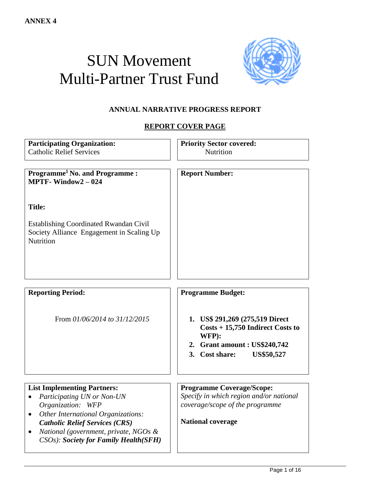# SUN Movement Multi-Partner Trust Fund



# **ANNUAL NARRATIVE PROGRESS REPORT**

# **REPORT COVER PAGE**

| <b>Participating Organization:</b><br><b>Catholic Relief Services</b>                                                                                                                     | <b>Priority Sector covered:</b><br><b>Nutrition</b>                                                                                                    |
|-------------------------------------------------------------------------------------------------------------------------------------------------------------------------------------------|--------------------------------------------------------------------------------------------------------------------------------------------------------|
| <b>Programme<sup>1</sup> No. and Programme:</b><br><b>MPTF-Window2</b> - $024$                                                                                                            | <b>Report Number:</b>                                                                                                                                  |
| <b>Title:</b>                                                                                                                                                                             |                                                                                                                                                        |
| <b>Establishing Coordinated Rwandan Civil</b><br>Society Alliance Engagement in Scaling Up<br><b>Nutrition</b>                                                                            |                                                                                                                                                        |
| <b>Reporting Period:</b>                                                                                                                                                                  | <b>Programme Budget:</b>                                                                                                                               |
|                                                                                                                                                                                           |                                                                                                                                                        |
| From 01/06/2014 to 31/12/2015                                                                                                                                                             | 1. US\$ 291,269 (275,519 Direct<br>$Costs + 15,750$ Indirect Costs to<br>WFP):<br>2. Grant amount : US\$240,742<br>3. Cost share:<br><b>US\$50,527</b> |
| <b>List Implementing Partners:</b>                                                                                                                                                        | <b>Programme Coverage/Scope:</b>                                                                                                                       |
| Participating UN or Non-UN<br>$\bullet$<br>Organization: WFP                                                                                                                              | Specify in which region and/or national<br>coverage/scope of the programme                                                                             |
| <b>Other International Organizations:</b><br>$\bullet$<br><b>Catholic Relief Services (CRS)</b><br>National (government, private, NGOs &<br><b>CSOs</b> ): Society for Family Health(SFH) | <b>National coverage</b>                                                                                                                               |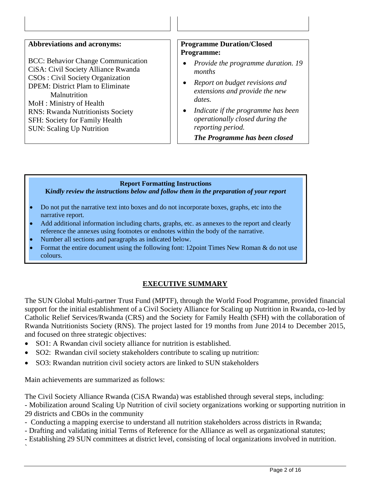| <b>Abbreviations and acronyms:</b> |  |
|------------------------------------|--|
|------------------------------------|--|

BCC: Behavior Change Communication CiSA: Civil Society Alliance Rwanda CSOs : Civil Society Organization DPEM: District Plam to Eliminate **Malnutrition** MoH : Ministry of Health RNS: Rwanda Nutritionists Society SFH: Society for Family Health SUN: Scaling Up Nutrition

#### **Abbreviations and acronyms: Programme Duration/Closed Programme:**

- *Provide the programme duration. 19 months*
- *Report on budget revisions and extensions and provide the new dates.*
- *Indicate if the programme has been operationally closed during the reporting period.*

*The Programme has been closed*

#### **Report Formatting Instructions**

**K***indly review the instructions below and follow them in the preparation of your report*

- Do not put the narrative text into boxes and do not incorporate boxes, graphs, etc into the narrative report.
- Add additional information including charts, graphs, etc. as annexes to the report and clearly reference the annexes using footnotes or endnotes within the body of the narrative.
- Number all sections and paragraphs as indicated below.
- Format the entire document using the following font: 12point Times New Roman & do not use colours.

# **EXECUTIVE SUMMARY**

The SUN Global Multi-partner Trust Fund (MPTF), through the World Food Programme, provided financial support for the initial establishment of a Civil Society Alliance for Scaling up Nutrition in Rwanda, co-led by Catholic Relief Services/Rwanda (CRS) and the Society for Family Health (SFH) with the collaboration of Rwanda Nutritionists Society (RNS). The project lasted for 19 months from June 2014 to December 2015, and focused on three strategic objectives:

- SO1: A Rwandan civil society alliance for nutrition is established.
- SO2: Rwandan civil society stakeholders contribute to scaling up nutrition:
- SO3: Rwandan nutrition civil society actors are linked to SUN stakeholders

Main achievements are summarized as follows:

`

The Civil Society Alliance Rwanda (CiSA Rwanda) was established through several steps, including:

- Mobilization around Scaling Up Nutrition of civil society organizations working or supporting nutrition in 29 districts and CBOs in the community

- Conducting a mapping exercise to understand all nutrition stakeholders across districts in Rwanda;
- Drafting and validating initial Terms of Reference for the Alliance as well as organizational statutes;
- Establishing 29 SUN committees at district level, consisting of local organizations involved in nutrition.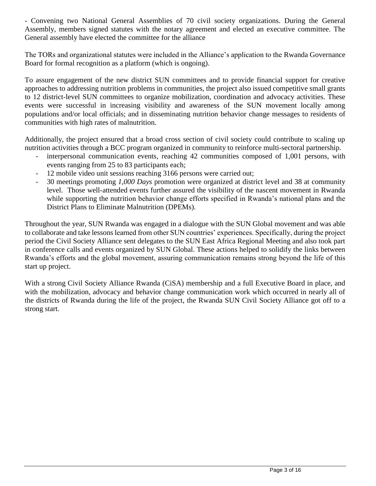- Convening two National General Assemblies of 70 civil society organizations. During the General Assembly, members signed statutes with the notary agreement and elected an executive committee. The General assembly have elected the committee for the alliance

The TORs and organizational statutes were included in the Alliance's application to the Rwanda Governance Board for formal recognition as a platform (which is ongoing).

To assure engagement of the new district SUN committees and to provide financial support for creative approaches to addressing nutrition problems in communities, the project also issued competitive small grants to 12 district-level SUN committees to organize mobilization, coordination and advocacy activities. These events were successful in increasing visibility and awareness of the SUN movement locally among populations and/or local officials; and in disseminating nutrition behavior change messages to residents of communities with high rates of malnutrition.

Additionally, the project ensured that a broad cross section of civil society could contribute to scaling up nutrition activities through a BCC program organized in community to reinforce multi-sectoral partnership.

- interpersonal communication events, reaching 42 communities composed of 1,001 persons, with events ranging from 25 to 83 participants each;
- 12 mobile video unit sessions reaching 3166 persons were carried out;
- 30 meetings promoting *1,000 Days* promotion were organized at district level and 38 at community level. Those well-attended events further assured the visibility of the nascent movement in Rwanda while supporting the nutrition behavior change efforts specified in Rwanda's national plans and the District Plans to Eliminate Malnutrition (DPEMs).

Throughout the year, SUN Rwanda was engaged in a dialogue with the SUN Global movement and was able to collaborate and take lessons learned from other SUN countries' experiences. Specifically, during the project period the Civil Society Alliance sent delegates to the SUN East Africa Regional Meeting and also took part in conference calls and events organized by SUN Global. These actions helped to solidify the links between Rwanda's efforts and the global movement, assuring communication remains strong beyond the life of this start up project.

With a strong Civil Society Alliance Rwanda (CiSA) membership and a full Executive Board in place, and with the mobilization, advocacy and behavior change communication work which occurred in nearly all of the districts of Rwanda during the life of the project, the Rwanda SUN Civil Society Alliance got off to a strong start.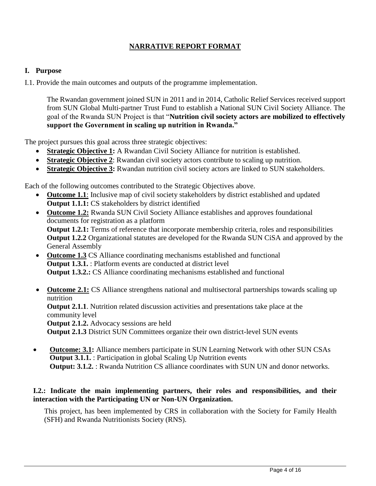# **NARRATIVE REPORT FORMAT**

#### **I. Purpose**

I.1. Provide the main outcomes and outputs of the programme implementation.

The Rwandan government joined SUN in 2011 and in 2014, Catholic Relief Services received support from SUN Global Multi-partner Trust Fund to establish a National SUN Civil Society Alliance. The goal of the Rwanda SUN Project is that "**Nutrition civil society actors are mobilized to effectively support the Government in scaling up nutrition in Rwanda."**

The project pursues this goal across three strategic objectives:

- **Strategic Objective 1:** A Rwandan Civil Society Alliance for nutrition is established.
- **Strategic Objective 2**: Rwandan civil society actors contribute to scaling up nutrition.
- **Strategic Objective 3:** Rwandan nutrition civil society actors are linked to SUN stakeholders.

Each of the following outcomes contributed to the Strategic Objectives above.

- **Outcome 1.1**: Inclusive map of civil society stakeholders by district established and updated **Output 1.1.1:** CS stakeholders by district identified
- **Outcome 1.2:** Rwanda SUN Civil Society Alliance establishes and approves foundational documents for registration as a platform **Output 1.2.1:** Terms of reference that incorporate membership criteria, roles and responsibilities **Output 1.2.2** Organizational statutes are developed for the Rwanda SUN CiSA and approved by the General Assembly
- **Outcome 1.3** CS Alliance coordinating mechanisms established and functional **Output 1.3.1.** : Platform events are conducted at district level **Output 1.3.2.:** CS Alliance coordinating mechanisms established and functional
- **Outcome 2.1:** CS Alliance strengthens national and multisectoral partnerships towards scaling up nutrition

**Output 2.1.1**. Nutrition related discussion activities and presentations take place at the community level

**Output 2.1.2.** Advocacy sessions are held

**Output 2.1.3** District SUN Committees organize their own district-level SUN events

 **Outcome: 3.1:** Alliance members participate in SUN Learning Network with other SUN CSAs **Output 3.1.1.** : Participation in global Scaling Up Nutrition events **Output: 3.1.2.** : Rwanda Nutrition CS alliance coordinates with SUN UN and donor networks.

# **I.2.: Indicate the main implementing partners, their roles and responsibilities, and their interaction with the Participating UN or Non-UN Organization.**

This project, has been implemented by CRS in collaboration with the Society for Family Health (SFH) and Rwanda Nutritionists Society (RNS).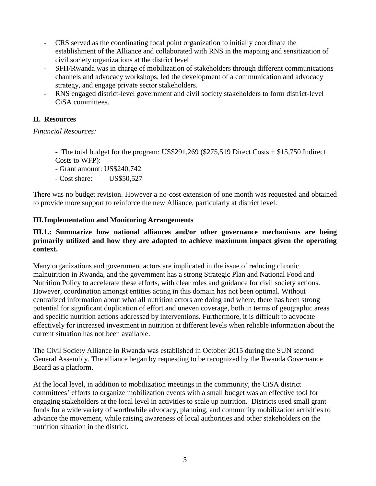- CRS served as the coordinating focal point organization to initially coordinate the establishment of the Alliance and collaborated with RNS in the mapping and sensitization of civil society organizations at the district level
- SFH/Rwanda was in charge of mobilization of stakeholders through different communications channels and advocacy workshops, led the development of a communication and advocacy strategy, and engage private sector stakeholders.
- RNS engaged district-level government and civil society stakeholders to form district-level CiSA committees.

## **II. Resources**

# *Financial Resources:*

**-** The total budget for the program: US\$291,269 (\$275,519 Direct Costs + \$15,750 Indirect Costs to WFP):

- Grant amount: US\$240,742

- Cost share: US\$50,527

There was no budget revision. However a no-cost extension of one month was requested and obtained to provide more support to reinforce the new Alliance, particularly at district level.

# **III.Implementation and Monitoring Arrangements**

#### **III.1.: Summarize how national alliances and/or other governance mechanisms are being primarily utilized and how they are adapted to achieve maximum impact given the operating context.**

Many organizations and government actors are implicated in the issue of reducing chronic malnutrition in Rwanda, and the government has a strong Strategic Plan and National Food and Nutrition Policy to accelerate these efforts, with clear roles and guidance for civil society actions. However, coordination amongst entities acting in this domain has not been optimal. Without centralized information about what all nutrition actors are doing and where, there has been strong potential for significant duplication of effort and uneven coverage, both in terms of geographic areas and specific nutrition actions addressed by interventions. Furthermore, it is difficult to advocate effectively for increased investment in nutrition at different levels when reliable information about the current situation has not been available.

The Civil Society Alliance in Rwanda was established in October 2015 during the SUN second General Assembly. The alliance began by requesting to be recognized by the Rwanda Governance Board as a platform.

At the local level, in addition to mobilization meetings in the community, the CiSA district committees' efforts to organize mobilization events with a small budget was an effective tool for engaging stakeholders at the local level in activities to scale up nutrition. Districts used small grant funds for a wide variety of worthwhile advocacy, planning, and community mobilization activities to advance the movement, while raising awareness of local authorities and other stakeholders on the nutrition situation in the district.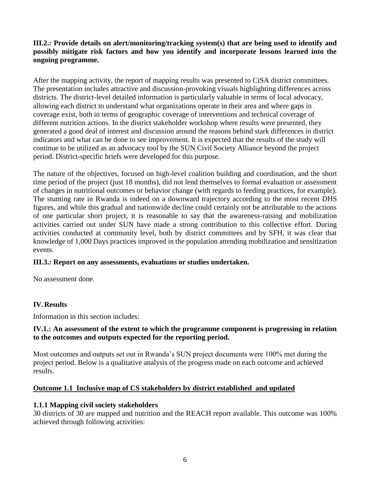**III.2.: Provide details on alert/monitoring/tracking system(s) that are being used to identify and possibly mitigate risk factors and how you identify and incorporate lessons learned into the ongoing programme.**

After the mapping activity, the report of mapping results was presented to CiSA district committees. The presentation includes attractive and discussion-provoking visuals highlighting differences across districts. The district-level detailed information is particularly valuable in terms of local advocacy, allowing each district to understand what organizations operate in their area and where gaps in coverage exist, both in terms of geographic coverage of interventions and technical coverage of different nutrition actions. In the district stakeholder workshop where results were presented, they generated a good deal of interest and discussion around the reasons behind stark differences in district indicators and what can be done to see improvement. It is expected that the results of the study will continue to be utilized as an advocacy tool by the SUN Civil Society Alliance beyond the project period. District-specific briefs were developed for this purpose.

The nature of the objectives, focused on high-level coalition building and coordination, and the short time period of the project (just 18 months), did not lend themselves to formal evaluation or assessment of changes in nutritional outcomes or behavior change (with regards to feeding practices, for example). The stunting rate in Rwanda is indeed on a downward trajectory according to the most recent DHS figures, and while this gradual and nationwide decline could certainly not be attributable to the actions of one particular short project, it is reasonable to say that the awareness-raising and mobilization activities carried out under SUN have made a strong contribution to this collective effort. During activities conducted at community level, both by district committees and by SFH, it was clear that knowledge of 1,000 Days practices improved in the population attending mobilization and sensitization events.

#### **III.3.: Report on any assessments, evaluations or studies undertaken.**

No assessment done.

#### **IV.Results**

Information in this section includes:

#### **IV.1.: An assessment of the extent to which the programme component is progressing in relation to the outcomes and outputs expected for the reporting period.**

Most outcomes and outputs set out in Rwanda's SUN project documents were 100% met during the project period. Below is a qualitative analysis of the progress made on each outcome and achieved results.

#### **Outcome 1.1 Inclusive map of CS stakeholders by district established and updated**

#### **1.1.1 Mapping civil society stakeholders**

30 districts of 30 are mapped and nutrition and the REACH report available. This outcome was 100% achieved through following activities: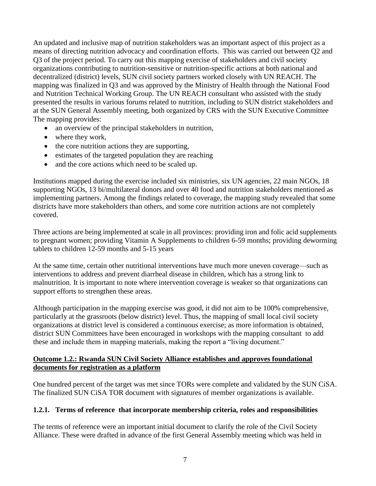An updated and inclusive map of nutrition stakeholders was an important aspect of this project as a means of directing nutrition advocacy and coordination efforts. This was carried out between Q2 and Q3 of the project period. To carry out this mapping exercise of stakeholders and civil society organizations contributing to nutrition-sensitive or nutrition-specific actions at both national and decentralized (district) levels, SUN civil society partners worked closely with UN REACH. The mapping was finalized in Q3 and was approved by the Ministry of Health through the National Food and Nutrition Technical Working Group. The UN REACH consultant who assisted with the study presented the results in various forums related to nutrition, including to SUN district stakeholders and at the SUN General Assembly meeting, both organized by CRS with the SUN Executive Committee The mapping provides:

- an overview of the principal stakeholders in nutrition,
- where they work,
- the core nutrition actions they are supporting,
- estimates of the targeted population they are reaching
- and the core actions which need to be scaled up.

Institutions mapped during the exercise included six ministries, six UN agencies, 22 main NGOs, 18 supporting NGOs, 13 bi/multilateral donors and over 40 food and nutrition stakeholders mentioned as implementing partners. Among the findings related to coverage, the mapping study revealed that some districts have more stakeholders than others, and some core nutrition actions are not completely covered.

Three actions are being implemented at scale in all provinces: providing iron and folic acid supplements to pregnant women; providing Vitamin A Supplements to children 6-59 months; providing deworming tablets to children 12-59 months and 5-15 years

At the same time, certain other nutritional interventions have much more uneven coverage—such as interventions to address and prevent diarrheal disease in children, which has a strong link to malnutrition. It is important to note where intervention coverage is weaker so that organizations can support efforts to strengthen these areas.

Although participation in the mapping exercise was good, it did not aim to be 100% comprehensive, particularly at the grassroots (below district) level. Thus, the mapping of small local civil society organizations at district level is considered a continuous exercise; as more information is obtained, district SUN Committees have been encouraged in workshops with the mapping consultant to add these and include them in mapping materials, making the report a "living document."

#### **Outcome 1.2.: Rwanda SUN Civil Society Alliance establishes and approves foundational documents for registration as a platform**

One hundred percent of the target was met since TORs were complete and validated by the SUN CiSA. The finalized SUN CiSA TOR document with signatures of member organizations is available.

#### **1.2.1. Terms of reference that incorporate membership criteria, roles and responsibilities**

The terms of reference were an important initial document to clarify the role of the Civil Society Alliance. These were drafted in advance of the first General Assembly meeting which was held in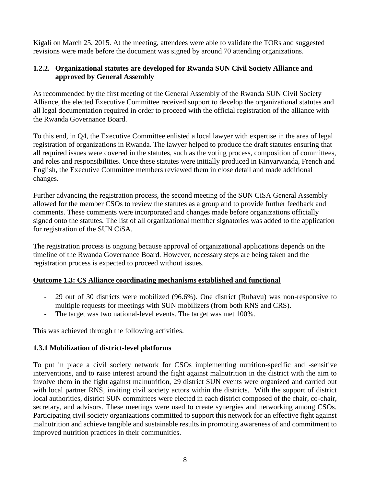Kigali on March 25, 2015. At the meeting, attendees were able to validate the TORs and suggested revisions were made before the document was signed by around 70 attending organizations.

# **1.2.2. Organizational statutes are developed for Rwanda SUN Civil Society Alliance and approved by General Assembly**

As recommended by the first meeting of the General Assembly of the Rwanda SUN Civil Society Alliance, the elected Executive Committee received support to develop the organizational statutes and all legal documentation required in order to proceed with the official registration of the alliance with the Rwanda Governance Board.

To this end, in Q4, the Executive Committee enlisted a local lawyer with expertise in the area of legal registration of organizations in Rwanda. The lawyer helped to produce the draft statutes ensuring that all required issues were covered in the statutes, such as the voting process, composition of committees, and roles and responsibilities. Once these statutes were initially produced in Kinyarwanda, French and English, the Executive Committee members reviewed them in close detail and made additional changes.

Further advancing the registration process, the second meeting of the SUN CiSA General Assembly allowed for the member CSOs to review the statutes as a group and to provide further feedback and comments. These comments were incorporated and changes made before organizations officially signed onto the statutes. The list of all organizational member signatories was added to the application for registration of the SUN CiSA.

The registration process is ongoing because approval of organizational applications depends on the timeline of the Rwanda Governance Board. However, necessary steps are being taken and the registration process is expected to proceed without issues.

#### **Outcome 1.3: CS Alliance coordinating mechanisms established and functional**

- 29 out of 30 districts were mobilized (96.6%). One district (Rubavu) was non-responsive to multiple requests for meetings with SUN mobilizers (from both RNS and CRS).
- The target was two national-level events. The target was met 100%.

This was achieved through the following activities.

# **1.3.1 Mobilization of district-level platforms**

To put in place a civil society network for CSOs implementing nutrition-specific and -sensitive interventions, and to raise interest around the fight against malnutrition in the district with the aim to involve them in the fight against malnutrition, 29 district SUN events were organized and carried out with local partner RNS, inviting civil society actors within the districts. With the support of district local authorities, district SUN committees were elected in each district composed of the chair, co-chair, secretary, and advisors. These meetings were used to create synergies and networking among CSOs. Participating civil society organizations committed to support this network for an effective fight against malnutrition and achieve tangible and sustainable results in promoting awareness of and commitment to improved nutrition practices in their communities.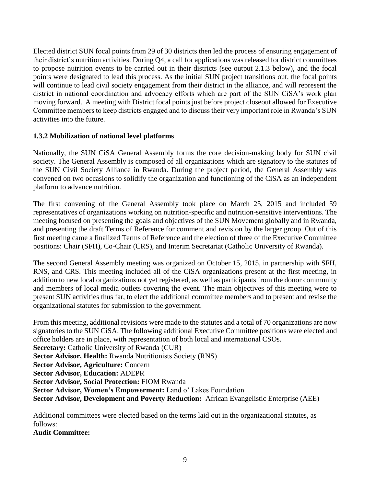Elected district SUN focal points from 29 of 30 districts then led the process of ensuring engagement of their district's nutrition activities. During Q4, a call for applications was released for district committees to propose nutrition events to be carried out in their districts (see output 2.1.3 below), and the focal points were designated to lead this process. As the initial SUN project transitions out, the focal points will continue to lead civil society engagement from their district in the alliance, and will represent the district in national coordination and advocacy efforts which are part of the SUN CiSA's work plan moving forward. A meeting with District focal points just before project closeout allowed for Executive Committee members to keep districts engaged and to discuss their very important role in Rwanda's SUN activities into the future.

#### **1.3.2 Mobilization of national level platforms**

Nationally, the SUN CiSA General Assembly forms the core decision-making body for SUN civil society. The General Assembly is composed of all organizations which are signatory to the statutes of the SUN Civil Society Alliance in Rwanda. During the project period, the General Assembly was convened on two occasions to solidify the organization and functioning of the CiSA as an independent platform to advance nutrition.

The first convening of the General Assembly took place on March 25, 2015 and included 59 representatives of organizations working on nutrition-specific and nutrition-sensitive interventions. The meeting focused on presenting the goals and objectives of the SUN Movement globally and in Rwanda, and presenting the draft Terms of Reference for comment and revision by the larger group. Out of this first meeting came a finalized Terms of Reference and the election of three of the Executive Committee positions: Chair (SFH), Co-Chair (CRS), and Interim Secretariat (Catholic University of Rwanda).

The second General Assembly meeting was organized on October 15, 2015, in partnership with SFH, RNS, and CRS. This meeting included all of the CiSA organizations present at the first meeting, in addition to new local organizations not yet registered, as well as participants from the donor community and members of local media outlets covering the event. The main objectives of this meeting were to present SUN activities thus far, to elect the additional committee members and to present and revise the organizational statutes for submission to the government.

From this meeting, additional revisions were made to the statutes and a total of 70 organizations are now signatories to the SUN CiSA. The following additional Executive Committee positions were elected and office holders are in place, with representation of both local and international CSOs. **Secretary:** Catholic University of Rwanda (CUR) **Sector Advisor, Health:** Rwanda Nutritionists Society (RNS) **Sector Advisor, Agriculture:** Concern **Sector Advisor, Education:** ADEPR **Sector Advisor, Social Protection:** FIOM Rwanda **Sector Advisor, Women's Empowerment:** Land o' Lakes Foundation **Sector Advisor, Development and Poverty Reduction:** African Evangelistic Enterprise (AEE)

Additional committees were elected based on the terms laid out in the organizational statutes, as follows:

**Audit Committee:**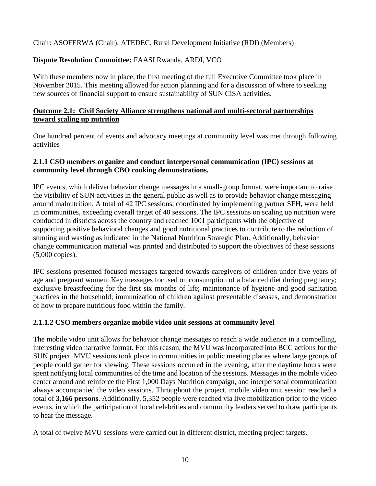Chair: ASOFERWA (Chair); ATEDEC, Rural Development Initiative (RDI) (Members)

# **Dispute Resolution Committee:** FAASI Rwanda, ARDI, VCO

With these members now in place, the first meeting of the full Executive Committee took place in November 2015. This meeting allowed for action planning and for a discussion of where to seeking new sources of financial support to ensure sustainability of SUN CiSA activities.

## **Outcome 2.1: Civil Society Alliance strengthens national and multi-sectoral partnerships toward scaling up nutrition**

One hundred percent of events and advocacy meetings at community level was met through following activities

#### **2.1.1 CSO members organize and conduct interpersonal communication (IPC) sessions at community level through CBO cooking demonstrations.**

IPC events, which deliver behavior change messages in a small-group format, were important to raise the visibility of SUN activities in the general public as well as to provide behavior change messaging around malnutrition. A total of 42 IPC sessions, coordinated by implementing partner SFH, were held in communities, exceeding overall target of 40 sessions. The IPC sessions on scaling up nutrition were conducted in districts across the country and reached 1001 participants with the objective of supporting positive behavioral changes and good nutritional practices to contribute to the reduction of stunting and wasting as indicated in the National Nutrition Strategic Plan. Additionally, behavior change communication material was printed and distributed to support the objectives of these sessions (5,000 copies).

IPC sessions presented focused messages targeted towards caregivers of children under five years of age and pregnant women. Key messages focused on consumption of a balanced diet during pregnancy; exclusive breastfeeding for the first six months of life; maintenance of hygiene and good sanitation practices in the household; immunization of children against preventable diseases, and demonstration of how to prepare nutritious food within the family.

#### **2.1.1.2 CSO members organize mobile video unit sessions at community level**

The mobile video unit allows for behavior change messages to reach a wide audience in a compelling, interesting video narrative format. For this reason, the MVU was incorporated into BCC actions for the SUN project. MVU sessions took place in communities in public meeting places where large groups of people could gather for viewing. These sessions occurred in the evening, after the daytime hours were spent notifying local communities of the time and location of the sessions. Messages in the mobile video center around and reinforce the First 1,000 Days Nutrition campaign, and interpersonal communication always accompanied the video sessions. Throughout the project, mobile video unit session reached a total of **3,166 persons**. Additionally, 5,352 people were reached via live mobilization prior to the video events, in which the participation of local celebrities and community leaders served to draw participants to hear the message.

A total of twelve MVU sessions were carried out in different district, meeting project targets.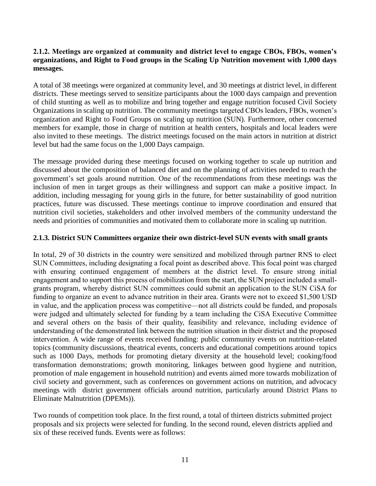#### **2.1.2. Meetings are organized at community and district level to engage CBOs, FBOs, women's organizations, and Right to Food groups in the Scaling Up Nutrition movement with 1,000 days messages.**

A total of 38 meetings were organized at community level, and 30 meetings at district level, in different districts. These meetings served to sensitize participants about the 1000 days campaign and prevention of child stunting as well as to mobilize and bring together and engage nutrition focused Civil Society Organizations in scaling up nutrition. The community meetings targeted CBOs leaders, FBOs, women's organization and Right to Food Groups on scaling up nutrition (SUN). Furthermore, other concerned members for example, those in charge of nutrition at health centers, hospitals and local leaders were also invited to these meetings. The district meetings focused on the main actors in nutrition at district level but had the same focus on the 1,000 Days campaign.

The message provided during these meetings focused on working together to scale up nutrition and discussed about the composition of balanced diet and on the planning of activities needed to reach the government's set goals around nutrition. One of the recommendations from these meetings was the inclusion of men in target groups as their willingness and support can make a positive impact. In addition, including messaging for young girls in the future, for better sustainability of good nutrition practices, future was discussed. These meetings continue to improve coordination and ensured that nutrition civil societies, stakeholders and other involved members of the community understand the needs and priorities of communities and motivated them to collaborate more in scaling up nutrition.

#### **2.1.3. District SUN Committees organize their own district-level SUN events with small grants**

In total, 29 of 30 districts in the country were sensitized and mobilized through partner RNS to elect SUN Committees, including designating a focal point as described above. This focal point was charged with ensuring continued engagement of members at the district level. To ensure strong initial engagement and to support this process of mobilization from the start, the SUN project included a smallgrants program, whereby district SUN committees could submit an application to the SUN CiSA for funding to organize an event to advance nutrition in their area. Grants were not to exceed \$1,500 USD in value, and the application process was competitive—not all districts could be funded, and proposals were judged and ultimately selected for funding by a team including the CiSA Executive Committee and several others on the basis of their quality, feasibility and relevance, including evidence of understanding of the demonstrated link between the nutrition situation in their district and the proposed intervention. A wide range of events received funding: public community events on nutrition-related topics (community discussions, theatrical events, concerts and educational competitions around topics such as 1000 Days, methods for promoting dietary diversity at the household level; cooking/food transformation demonstrations; growth monitoring, linkages between good hygiene and nutrition, promotion of male engagement in household nutrition) and events aimed more towards mobilization of civil society and government, such as conferences on government actions on nutrition, and advocacy meetings with district government officials around nutrition, particularly around District Plans to Eliminate Malnutrition (DPEMs)).

Two rounds of competition took place. In the first round, a total of thirteen districts submitted project proposals and six projects were selected for funding. In the second round, eleven districts applied and six of these received funds. Events were as follows: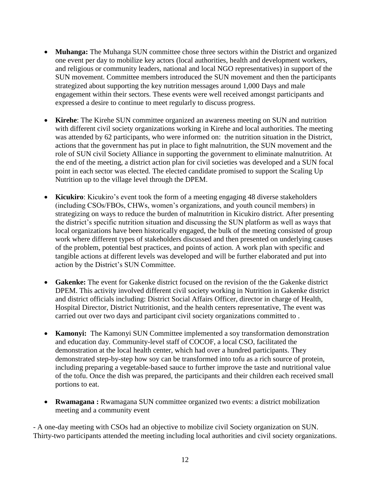- **Muhanga:** The Muhanga SUN committee chose three sectors within the District and organized one event per day to mobilize key actors (local authorities, health and development workers, and religious or community leaders, national and local NGO representatives) in support of the SUN movement. Committee members introduced the SUN movement and then the participants strategized about supporting the key nutrition messages around 1,000 Days and male engagement within their sectors. These events were well received amongst participants and expressed a desire to continue to meet regularly to discuss progress.
- **Kirehe**: The Kirehe SUN committee organized an awareness meeting on SUN and nutrition with different civil society organizations working in Kirehe and local authorities. The meeting was attended by 62 participants, who were informed on: the nutrition situation in the District, actions that the government has put in place to fight malnutrition, the SUN movement and the role of SUN civil Society Alliance in supporting the government to eliminate malnutrition. At the end of the meeting, a district action plan for civil societies was developed and a SUN focal point in each sector was elected. The elected candidate promised to support the Scaling Up Nutrition up to the village level through the DPEM.
- **Kicukiro**: Kicukiro's event took the form of a meeting engaging 48 diverse stakeholders (including CSOs/FBOs, CHWs, women's organizations, and youth council members) in strategizing on ways to reduce the burden of malnutrition in Kicukiro district. After presenting the district's specific nutrition situation and discussing the SUN platform as well as ways that local organizations have been historically engaged, the bulk of the meeting consisted of group work where different types of stakeholders discussed and then presented on underlying causes of the problem, potential best practices, and points of action. A work plan with specific and tangible actions at different levels was developed and will be further elaborated and put into action by the District's SUN Committee.
- **Gakenke:** The event for Gakenke district focused on the revision of the the Gakenke district DPEM. This activity involved different civil society working in Nutrition in Gakenke district and district officials including: District Social Affairs Officer, director in charge of Health, Hospital Director, District Nutritionist, and the health centers representative, The event was carried out over two days and participant civil society organizations committed to .
- **Kamonyi:** The Kamonyi SUN Committee implemented a soy transformation demonstration and education day. Community-level staff of COCOF, a local CSO, facilitated the demonstration at the local health center, which had over a hundred participants. They demonstrated step-by-step how soy can be transformed into tofu as a rich source of protein, including preparing a vegetable-based sauce to further improve the taste and nutritional value of the tofu. Once the dish was prepared, the participants and their children each received small portions to eat.
- **Rwamagana :** Rwamagana SUN committee organized two events: a district mobilization meeting and a community event

- A one-day meeting with CSOs had an objective to mobilize civil Society organization on SUN. Thirty-two participants attended the meeting including local authorities and civil society organizations.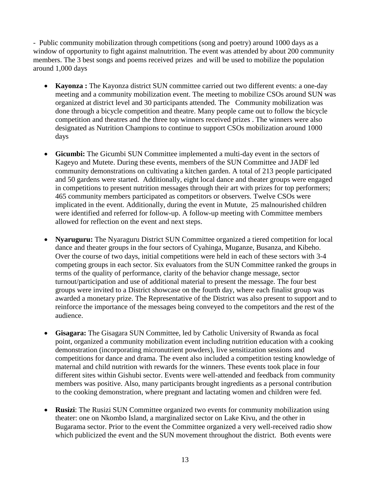- Public community mobilization through competitions (song and poetry) around 1000 days as a window of opportunity to fight against malnutrition. The event was attended by about 200 community members. The 3 best songs and poems received prizes and will be used to mobilize the population around 1,000 days

- **Kayonza :** The Kayonza district SUN committee carried out two different events: a one-day meeting and a community mobilization event. The meeting to mobilize CSOs around SUN was organized at district level and 30 participants attended. The Community mobilization was done through a bicycle competition and theatre. Many people came out to follow the bicycle competition and theatres and the three top winners received prizes . The winners were also designated as Nutrition Champions to continue to support CSOs mobilization around 1000 days
- **Gicumbi:** The Gicumbi SUN Committee implemented a multi-day event in the sectors of Kageyo and Mutete. During these events, members of the SUN Committee and JADF led community demonstrations on cultivating a kitchen garden. A total of 213 people participated and 50 gardens were started. Additionally, eight local dance and theater groups were engaged in competitions to present nutrition messages through their art with prizes for top performers; 465 community members participated as competitors or observers. Twelve CSOs were implicated in the event. Additionally, during the event in Mutute, 25 malnourished children were identified and referred for follow-up. A follow-up meeting with Committee members allowed for reflection on the event and next steps.
- Nyaruguru: The Nyaraguru District SUN Committee organized a tiered competition for local dance and theater groups in the four sectors of Cyahinga, Muganze, Busanza, and Kibeho. Over the course of two days, initial competitions were held in each of these sectors with 3-4 competing groups in each sector. Six evaluators from the SUN Committee ranked the groups in terms of the quality of performance, clarity of the behavior change message, sector turnout/participation and use of additional material to present the message. The four best groups were invited to a District showcase on the fourth day, where each finalist group was awarded a monetary prize. The Representative of the District was also present to support and to reinforce the importance of the messages being conveyed to the competitors and the rest of the audience.
- **Gisagara:** The Gisagara SUN Committee, led by Catholic University of Rwanda as focal point, organized a community mobilization event including nutrition education with a cooking demonstration (incorporating micronutrient powders), live sensitization sessions and competitions for dance and drama. The event also included a competition testing knowledge of maternal and child nutrition with rewards for the winners. These events took place in four different sites within Gishubi sector. Events were well-attended and feedback from community members was positive. Also, many participants brought ingredients as a personal contribution to the cooking demonstration, where pregnant and lactating women and children were fed.
- **Rusizi**: The Rusizi SUN Committee organized two events for community mobilization using theater: one on Nkombo Island, a marginalized sector on Lake Kivu, and the other in Bugarama sector. Prior to the event the Committee organized a very well-received radio show which publicized the event and the SUN movement throughout the district. Both events were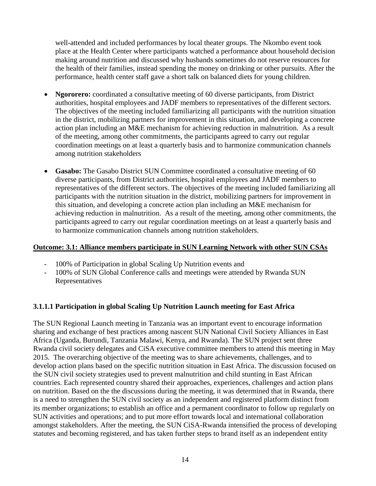well-attended and included performances by local theater groups. The Nkombo event took place at the Health Center where participants watched a performance about household decision making around nutrition and discussed why husbands sometimes do not reserve resources for the health of their families, instead spending the money on drinking or other pursuits. After the performance, health center staff gave a short talk on balanced diets for young children.

- **Ngororero:** coordinated a consultative meeting of 60 diverse participants, from District authorities, hospital employees and JADF members to representatives of the different sectors. The objectives of the meeting included familiarizing all participants with the nutrition situation in the district, mobilizing partners for improvement in this situation, and developing a concrete action plan including an M&E mechanism for achieving reduction in malnutrition. As a result of the meeting, among other commitments, the participants agreed to carry out regular coordination meetings on at least a quarterly basis and to harmonize communication channels among nutrition stakeholders
- **Gasabo:** The Gasabo District SUN Committee coordinated a consultative meeting of 60 diverse participants, from District authorities, hospital employees and JADF members to representatives of the different sectors. The objectives of the meeting included familiarizing all participants with the nutrition situation in the district, mobilizing partners for improvement in this situation, and developing a concrete action plan including an M&E mechanism for achieving reduction in malnutrition. As a result of the meeting, among other commitments, the participants agreed to carry out regular coordination meetings on at least a quarterly basis and to harmonize communication channels among nutrition stakeholders.

#### **Outcome: 3.1: Alliance members participate in SUN Learning Network with other SUN CSAs**

- 100% of Participation in global Scaling Up Nutrition events and
- 100% of SUN Global Conference calls and meetings were attended by Rwanda SUN Representatives

#### **3.1.1.1 Participation in global Scaling Up Nutrition Launch meeting for East Africa**

The SUN Regional Launch meeting in Tanzania was an important event to encourage information sharing and exchange of best practices among nascent SUN National Civil Society Alliances in East Africa (Uganda, Burundi, Tanzania Malawi, Kenya, and Rwanda). The SUN project sent three Rwanda civil society delegates and CiSA executive committee members to attend this meeting in May 2015. The overarching objective of the meeting was to share achievements, challenges, and to develop action plans based on the specific nutrition situation in East Africa. The discussion focused on the SUN civil society strategies used to prevent malnutrition and child stunting in East African countries. Each represented country shared their approaches, experiences, challenges and action plans on nutrition. Based on the the discussions during the meeting, it was determined that in Rwanda, there is a need to strengthen the SUN civil society as an independent and registered platform distinct from its member organizations; to establish an office and a permanent coordinator to follow up regularly on SUN activities and operations; and to put more effort towards local and international collaboration amongst stakeholders. After the meeting, the SUN CiSA-Rwanda intensified the process of developing statutes and becoming registered, and has taken further steps to brand itself as an independent entity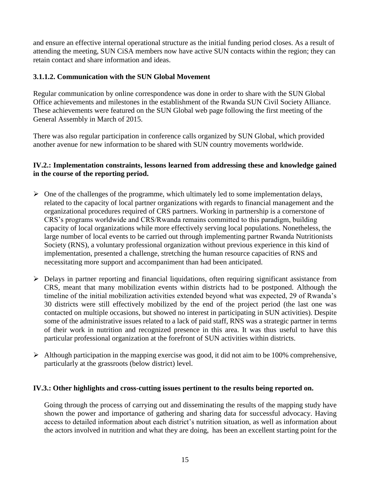and ensure an effective internal operational structure as the initial funding period closes. As a result of attending the meeting, SUN CiSA members now have active SUN contacts within the region; they can retain contact and share information and ideas.

#### **3.1.1.2. Communication with the SUN Global Movement**

Regular communication by online correspondence was done in order to share with the SUN Global Office achievements and milestones in the establishment of the Rwanda SUN Civil Society Alliance. These achievements were featured on the SUN Global web page following the first meeting of the General Assembly in March of 2015.

There was also regular participation in conference calls organized by SUN Global, which provided another avenue for new information to be shared with SUN country movements worldwide.

## **IV.2.: Implementation constraints, lessons learned from addressing these and knowledge gained in the course of the reporting period.**

- $\triangleright$  One of the challenges of the programme, which ultimately led to some implementation delays, related to the capacity of local partner organizations with regards to financial management and the organizational procedures required of CRS partners. Working in partnership is a cornerstone of CRS's programs worldwide and CRS/Rwanda remains committed to this paradigm, building capacity of local organizations while more effectively serving local populations. Nonetheless, the large number of local events to be carried out through implementing partner Rwanda Nutritionists Society (RNS), a voluntary professional organization without previous experience in this kind of implementation, presented a challenge, stretching the human resource capacities of RNS and necessitating more support and accompaniment than had been anticipated.
- Delays in partner reporting and financial liquidations, often requiring significant assistance from CRS, meant that many mobilization events within districts had to be postponed. Although the timeline of the initial mobilization activities extended beyond what was expected, 29 of Rwanda's 30 districts were still effectively mobilized by the end of the project period (the last one was contacted on multiple occasions, but showed no interest in participating in SUN activities). Despite some of the administrative issues related to a lack of paid staff, RNS was a strategic partner in terms of their work in nutrition and recognized presence in this area. It was thus useful to have this particular professional organization at the forefront of SUN activities within districts.
- $\triangleright$  Although participation in the mapping exercise was good, it did not aim to be 100% comprehensive, particularly at the grassroots (below district) level.

#### **IV.3.: Other highlights and cross-cutting issues pertinent to the results being reported on.**

Going through the process of carrying out and disseminating the results of the mapping study have shown the power and importance of gathering and sharing data for successful advocacy. Having access to detailed information about each district's nutrition situation, as well as information about the actors involved in nutrition and what they are doing, has been an excellent starting point for the